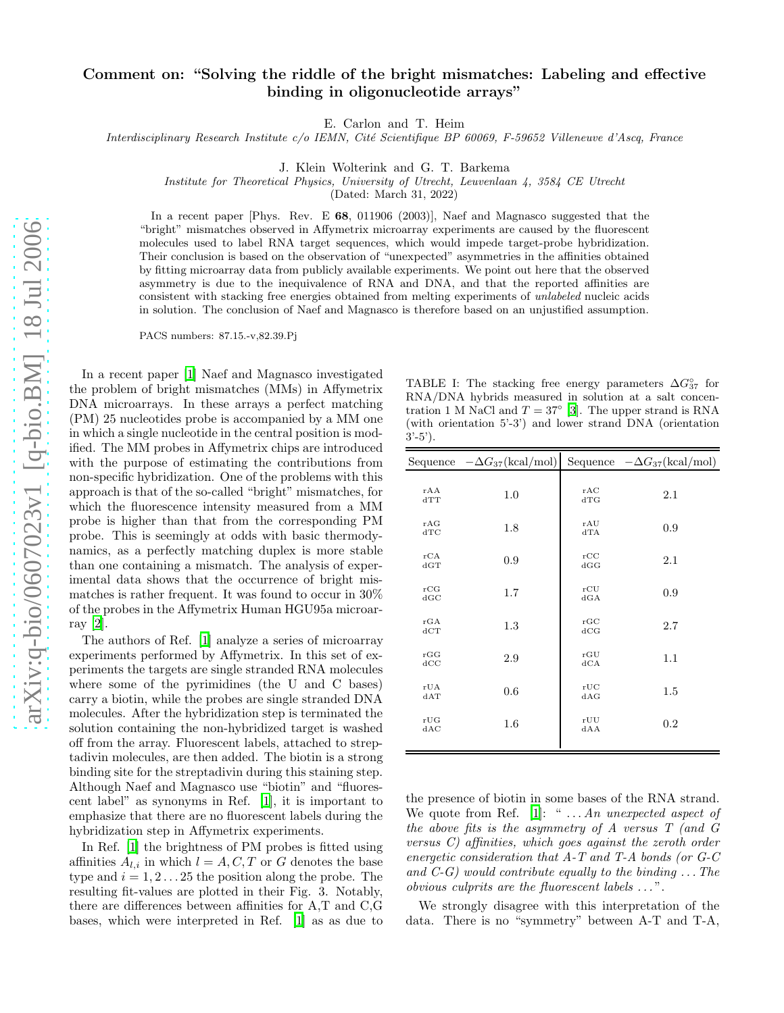## Comment on: "Solving the riddle of the bright mismatches: Labeling and effective binding in oligonucleotide arrays"

E. Carlon and T. Heim

Interdisciplinary Research Institute c/o IEMN, Cité Scientifique BP 60069, F-59652 Villeneuve d'Ascq, France

J. Klein Wolterink and G. T. Barkema

Institute for Theoretical Physics, University of Utrecht, Leuvenlaan 4, 3584 CE Utrecht

(Dated: March 31, 2022)

In a recent paper [Phys. Rev. E 68, 011906 (2003)], Naef and Magnasco suggested that the "bright" mismatches observed in Affymetrix microarray experiments are caused by the fluorescent molecules used to label RNA target sequences, which would impede target-probe hybridization. Their conclusion is based on the observation of "unexpected" asymmetries in the affinities obtained by fitting microarray data from publicly available experiments. We point out here that the observed asymmetry is due to the inequivalence of RNA and DNA, and that the reported affinities are consistent with stacking free energies obtained from melting experiments of unlabeled nucleic acids in solution. The conclusion of Naef and Magnasco is therefore based on an unjustified assumption.

PACS numbers: 87.15.-v,82.39.Pj

In a recent paper [\[1](#page-1-0)] Naef and Magnasco investigated the problem of bright mismatches (MMs) in Affymetrix DNA microarrays. In these arrays a perfect matching (PM) 25 nucleotides probe is accompanied by a MM one in which a single nucleotide in the central position is modified. The MM probes in Affymetrix chips are introduced with the purpose of estimating the contributions from non-specific hybridization. One of the problems with this approach is that of the so-called "bright" mismatches, for which the fluorescence intensity measured from a MM probe is higher than that from the corresponding PM probe. This is seemingly at odds with basic thermodynamics, as a perfectly matching duplex is more stable than one containing a mismatch. The analysis of experimental data shows that the occurrence of bright mismatches is rather frequent. It was found to occur in 30% of the probes in the Affymetrix Human HGU95a microarray [\[2\]](#page-1-1).

The authors of Ref. [\[1\]](#page-1-0) analyze a series of microarray experiments performed by Affymetrix. In this set of experiments the targets are single stranded RNA molecules where some of the pyrimidines (the U and C bases) carry a biotin, while the probes are single stranded DNA molecules. After the hybridization step is terminated the solution containing the non-hybridized target is washed off from the array. Fluorescent labels, attached to streptadivin molecules, are then added. The biotin is a strong binding site for the streptadivin during this staining step. Although Naef and Magnasco use "biotin" and "fluorescent label" as synonyms in Ref. [\[1\]](#page-1-0), it is important to emphasize that there are no fluorescent labels during the hybridization step in Affymetrix experiments.

In Ref. [\[1](#page-1-0)] the brightness of PM probes is fitted using affinities  $A_{l,i}$  in which  $l = A, C, T$  or G denotes the base type and  $i = 1, 2, \ldots, 25$  the position along the probe. The resulting fit-values are plotted in their Fig. 3. Notably, there are differences between affinities for A,T and C,G bases, which were interpreted in Ref. [\[1](#page-1-0)] as as due to

<span id="page-0-0"></span>TABLE I: The stacking free energy parameters  $\Delta G_{37}^{\circ}$  for RNA/DNA hybrids measured in solution at a salt concentration 1 M NaCl and  $T = 37^{\circ}$  [\[3\]](#page-1-2). The upper strand is RNA (with orientation 5'-3') and lower strand DNA (orientation  $3^{\prime}$ -5').

|            | Sequence $-\Delta G_{37}(\text{kcal/mol})$ |            | Sequence $-\Delta G_{37}(\text{kcal/mol})$ |
|------------|--------------------------------------------|------------|--------------------------------------------|
| rAA<br>dTT | 1.0                                        | rAC<br>dTG | 2.1                                        |
| rAG<br>dTC | 1.8                                        | rAU<br>dTA | 0.9                                        |
| rCA<br>dGT | 0.9                                        | rCC<br>dGG | 2.1                                        |
| rCG<br>dGC | 1.7                                        | rCU<br>dGA | 0.9                                        |
| rGA<br>dCT | 1.3                                        | rGC<br>dCG | 2.7                                        |
| rGG<br>dCC | 2.9                                        | rGU<br>dCA | 1.1                                        |
| rUA<br>dAT | 0.6                                        | rUC<br>dAG | 1.5                                        |
| rUG<br>dAC | 1.6                                        | rUU<br>dAA | 0.2                                        |
|            |                                            |            |                                            |

the presence of biotin in some bases of the RNA strand. We quote from Ref. [\[1](#page-1-0)]: " $\ldots An$  unexpected aspect of the above fits is the asymmetry of A versus T (and G versus C) affinities, which goes against the zeroth order energetic consideration that A-T and T-A bonds (or G-C and  $C-G$ ) would contribute equally to the binding  $\dots$  The obvious culprits are the fluorescent labels . . . ".

We strongly disagree with this interpretation of the data. There is no "symmetry" between A-T and T-A,